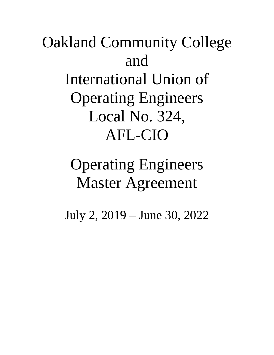# Oakland Community College and International Union of Operating Engineers Local No. 324, AFL-CIO

# Operating Engineers Master Agreement

July 2, 2019 – June 30, 2022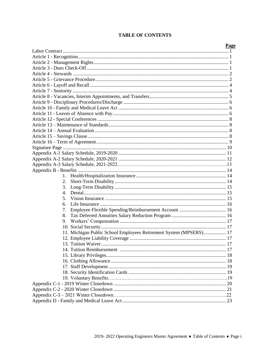#### **TABLE OF CONTENTS**

| 1.<br>2.<br>3.<br>4.<br>5.<br>6.<br>7.<br>8.<br>9.<br>11. Michigan Public School Employees Retirement System (MPSERS) 17 |
|--------------------------------------------------------------------------------------------------------------------------|
|                                                                                                                          |
|                                                                                                                          |
|                                                                                                                          |
|                                                                                                                          |
|                                                                                                                          |
|                                                                                                                          |
|                                                                                                                          |
|                                                                                                                          |
|                                                                                                                          |
|                                                                                                                          |
|                                                                                                                          |
|                                                                                                                          |
|                                                                                                                          |
|                                                                                                                          |
|                                                                                                                          |
|                                                                                                                          |
|                                                                                                                          |
|                                                                                                                          |
|                                                                                                                          |
|                                                                                                                          |
|                                                                                                                          |
|                                                                                                                          |
|                                                                                                                          |
|                                                                                                                          |
|                                                                                                                          |
|                                                                                                                          |
|                                                                                                                          |
|                                                                                                                          |
|                                                                                                                          |
|                                                                                                                          |
|                                                                                                                          |
|                                                                                                                          |
|                                                                                                                          |
|                                                                                                                          |
|                                                                                                                          |
|                                                                                                                          |
|                                                                                                                          |
|                                                                                                                          |
|                                                                                                                          |
|                                                                                                                          |
|                                                                                                                          |
|                                                                                                                          |
|                                                                                                                          |
|                                                                                                                          |
|                                                                                                                          |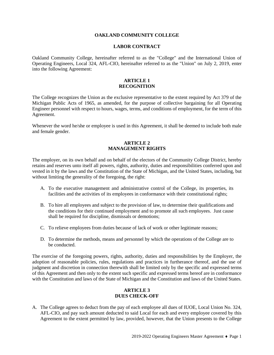#### **OAKLAND COMMUNITY COLLEGE**

#### **LABOR CONTRACT**

Oakland Community College, hereinafter referred to as the "College" and the International Union of Operating Engineers, Local 324, AFL-CIO, hereinafter referred to as the "Union" on July 2, 2019, enter into the following Agreement:

#### **ARTICLE 1 RECOGNITION**

The College recognizes the Union as the exclusive representative to the extent required by Act 379 of the Michigan Public Acts of 1965, as amended, for the purpose of collective bargaining for all Operating Engineer personnel with respect to hours, wages, terms, and conditions of employment, for the term of this Agreement.

Whenever the word he/she or employee is used in this Agreement, it shall be deemed to include both male and female gender.

#### **ARTICLE 2 MANAGEMENT RIGHTS**

The employer, on its own behalf and on behalf of the electors of the Community College District, hereby retains and reserves unto itself all powers, rights, authority, duties and responsibilities conferred upon and vested in it by the laws and the Constitution of the State of Michigan, and the United States, including, but without limiting the generality of the foregoing, the right:

- A. To the executive management and administrative control of the College, its properties, its facilities and the activities of its employees in conformance with their constitutional rights;
- B. To hire all employees and subject to the provision of law, to determine their qualifications and the conditions for their continued employment and to promote all such employees. Just cause shall be required for discipline, dismissals or demotions;
- C. To relieve employees from duties because of lack of work or other legitimate reasons;
- D. To determine the methods, means and personnel by which the operations of the College are to be conducted.

The exercise of the foregoing powers, rights, authority, duties and responsibilities by the Employer, the adoption of reasonable policies, rules, regulations and practices in furtherance thereof, and the use of judgment and discretion in connection therewith shall be limited only by the specific and expressed terms of this Agreement and then only to the extent such specific and expressed terms hereof are in conformance with the Constitution and laws of the State of Michigan and the Constitution and laws of the United States.

#### **ARTICLE 3 DUES CHECK-OFF**

A. The College agrees to deduct from the pay of each employee all dues of IUOE, Local Union No. 324, AFL-CIO, and pay such amount deducted to said Local for each and every employee covered by this Agreement to the extent permitted by law, provided, however, that the Union presents to the College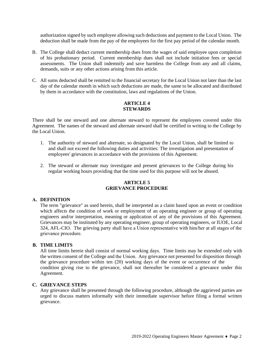authorization signed by such employee allowing such deductions and payment to the Local Union. The deduction shall be made from the pay of the employees for the first pay period of the calendar month.

- B. The College shall deduct current membership dues from the wages of said employee upon completion of his probationary period. Current membership dues shall not include initiation fees or special assessments. The Union shall indemnify and save harmless the College from any and all claims, demands, suits or any other actions arising from this article.
- C. All sums deducted shall be remitted to the financial secretary for the Local Union not later than the last day of the calendar month in which such deductions are made, the same to be allocated and distributed by them in accordance with the constitution, laws and regulations of the Union.

#### **ARTICLE 4 STEWARDS**

There shall be one steward and one alternate steward to represent the employees covered under this Agreement. The names of the steward and alternate steward shall be certified in writing to the College by the Local Union.

- 1. The authority of steward and alternate, so designated by the Local Union, shall be limited to and shall not exceed the following duties and activities: The investigation and presentation of employees' grievances in accordance with the provisions of this Agreement.
- 2. The steward or alternate may investigate and present grievances to the College during his regular working hours providing that the time used for this purpose will not be abused.

#### **ARTICLE 5 GRIEVANCE PROCEDURE**

#### **A. DEFINITION**

The term "grievance" as used herein, shall be interpreted as a claim based upon an event or condition which affects the condition of work or employment of an operating engineer or group of operating engineers and/or interpretation, meaning or application of any of the provisions of this Agreement. Grievances may be instituted by any operating engineer, group of operating engineers, or IUOE, Local 324, AFL-CIO. The grieving party shall have a Union representative with him/her at all stages of the grievance procedure.

#### **B. TIME LIMITS**

All time limits herein shall consist of normal working days. Time limits may be extended only with the written consent of the College and the Union. Any grievance not presented for disposition through the grievance procedure within ten (20) working days of the event or occurrence of the condition giving rise to the grievance, shall not thereafter be considered a grievance under this Agreement.

#### **C. GRIEVANCE STEPS**

Any grievance shall be presented through the following procedure, although the aggrieved parties are urged to discuss matters informally with their immediate supervisor before filing a formal written grievance.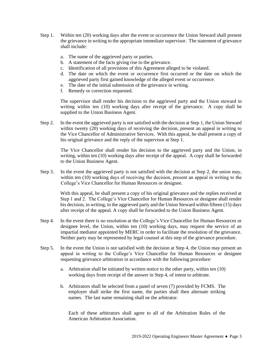- Step 1. Within ten (20) working days after the event or occurrence the Union Steward shall present the grievance in writing to the appropriate immediate supervisor. The statement of grievance shall include:
	- a. The name of the aggrieved party or parties.
	- b. A statement of the facts giving rise to the grievance.
	- c. Identification of all provisions of this Agreement alleged to be violated.
	- d. The date on which the event or occurrence first occurred or the date on which the aggrieved party first gained knowledge of the alleged event or occurrence.
	- e. The date of the initial submission of the grievance in writing.
	- f. Remedy or correction requested.

The supervisor shall render his decision to the aggrieved party and the Union steward in writing within ten (10) working days after receipt of the grievance. A copy shall be supplied to the Union Business Agent.

Step 2. In the event the aggrieved party is not satisfied with the decision at Step 1, the Union Steward within twenty (20) working days of receiving the decision, present an appeal in writing to the Vice Chancellor of Administrative Services. With this appeal, he shall present a copy of his original grievance and the reply of the supervisor at Step 1.

The Vice Chancellor shall render his decision to the aggrieved party and the Union, in writing, within ten (10) working days after receipt of the appeal. A copy shall be forwarded to the Union Business Agent.

Step 3. In the event the aggrieved party is not satisfied with the decision at Step 2, the union may, within ten (10) working days of receiving the decision, present an appeal in writing to the College's Vice Chancellor for Human Resources or designee.

With this appeal, he shall present a copy of his original grievance and the replies received at Step 1 and 2. The College's Vice Chancellor for Human Resources or designee shall render his decision, in writing, to the aggrieved party and the Union Steward within fifteen (15) days after receipt of the appeal. A copy shall be forwarded to the Union Business Agent.

- Step 4. In the event there is no resolution at the College's Vice Chancellor for Human Resources or designee level, the Union, within ten (10) working days, may request the service of an impartial mediator appointed by MERC in order to facilitate the resolution of the grievance. Neither party may be represented by legal counsel at this step of the grievance procedure.
- Step 5. In the event the Union is not satisfied with the decision at Step 4, the Union may present an appeal in writing to the College's Vice Chancellor for Human Resources or designee requesting grievance arbitration in accordance with the following procedure:
	- a. Arbitration shall be initiated by written notice to the other party, within ten (10) working days from receipt of the answer in Step 4, of intent to arbitrate.
	- b. Arbitrators shall be selected from a panel of seven (7) provided by FCMS. The employer shall strike the first name, the parties shall then alternate striking names. The last name remaining shall ne the arbitrator.

Each of these arbitrators shall agree to all of the Arbitration Rules of the American Arbitration Association.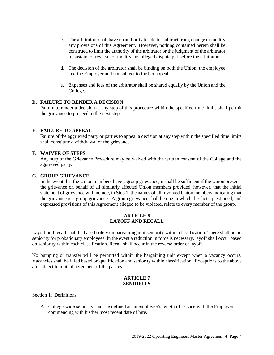- c. The arbitrators shall have no authority to add to, subtract from, change or modify any provisions of this Agreement. However, nothing contained herein shall be construed to limit the authority of the arbitrator or the judgment of the arbitrator to sustain, or reverse, or modify any alleged dispute put before the arbitrator.
- d. The decision of the arbitrator shall be binding on both the Union, the employee and the Employer and not subject to further appeal.
- e. Expenses and fees of the arbitrator shall be shared equally by the Union and the College.

#### **D. FAILURE TO RENDER A DECISION**

Failure to render a decision at any step of this procedure within the specified time limits shall permit the grievance to proceed to the next step.

#### **E. FAILURE TO APPEAL**

Failure of the aggrieved party or parties to appeal a decision at any step within the specified time limits shall constitute a withdrawal of the grievance.

#### **F. WAIVER OF STEPS**

Any step of the Grievance Procedure may be waived with the written consent of the College and the aggrieved party.

#### **G. GROUP GRIEVANCE**

In the event that the Union members have a group grievance, it shall be sufficient if the Union presents the grievance on behalf of all similarly affected Union members provided, however, that the initial statement of grievance will include, in Step 1, the names of all involved Union members indicating that the grievance is a group grievance. A group grievance shall be one in which the facts questioned, and expressed provisions of this Agreement alleged to be violated, relate to every member of the group.

#### **ARTICLE 6 LAYOFF AND RECALL**

Layoff and recall shall be based solely on bargaining unit seniority within classification. There shall be no seniority for probationary employees. In the event a reduction in force is necessary, layoff shall occur based on seniority within each classification. Recall shall occur in the reverse order of layoff.

No bumping or transfer will be permitted within the bargaining unit except when a vacancy occurs. Vacancies shall be filled based on qualification and seniority within classification. Exceptions to the above are subject to mutual agreement of the parties.

#### **ARTICLE 7 SENIORITY**

Section 1. Definitions

A. College-wide seniority shall be defined as an employee's length of service with the Employer commencing with his/her most recent date of hire.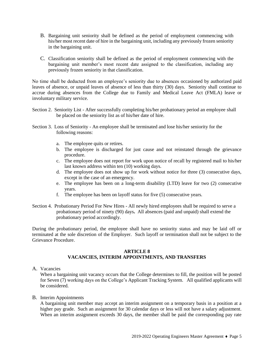- B. Bargaining unit seniority shall be defined as the period of employment commencing with his/her most recent date of hire in the bargaining unit, including any previously frozen seniority in the bargaining unit.
- C. Classification seniority shall be defined as the period of employment commencing with the bargaining unit member's most recent date assigned to the classification, including any previously frozen seniority in that classification.

No time shall be deducted from an employee's seniority due to absences occasioned by authorized paid leaves of absence, or unpaid leaves of absence of less than thirty (30) days. Seniority shall continue to accrue during absences from the College due to Family and Medical Leave Act (FMLA) leave or involuntary military service.

- Section 2. Seniority List After successfully completing his/her probationary period an employee shall be placed on the seniority list as of his/her date of hire.
- Section 3. Loss of Seniority An employee shall be terminated and lose his/her seniority for the following reasons:
	- a. The employee quits or retires.
	- b. The employee is discharged for just cause and not reinstated through the grievance procedure.
	- c. The employee does not report for work upon notice of recall by registered mail to his/her last known address within ten (10) working days.
	- d. The employee does not show up for work without notice for three (3) consecutive days, except in the case of an emergency.
	- e. The employee has been on a long-term disability (LTD) leave for two (2) consecutive years.
	- f. The employee has been on layoff status for five (5) consecutive years.
- Section 4. Probationary Period For New Hires All newly hired employees shall be required to serve a probationary period of ninety (90) days**.** All absences (paid and unpaid) shall extend the probationary period accordingly.

During the probationary period, the employee shall have no seniority status and may be laid off or terminated at the sole discretion of the Employer. Such layoff or termination shall not be subject to the Grievance Procedure.

#### **ARTICLE 8 VACANCIES, INTERIM APPOINTMENTS, AND TRANSFERS**

A. Vacancies

When a bargaining unit vacancy occurs that the College determines to fill, the position will be posted for Seven (7) working days on the College's Applicant Tracking System. All qualified applicants will be considered.

B. Interim Appointments

A bargaining unit member may accept an interim assignment on a temporary basis in a position at a higher pay grade. Such an assignment for 30 calendar days or less will not have a salary adjustment. When an interim assignment exceeds 30 days, the member shall be paid the corresponding pay rate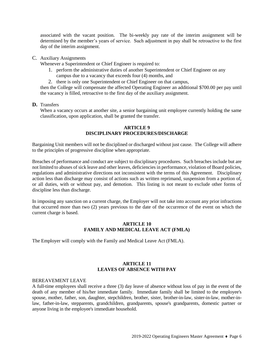associated with the vacant position. The bi-weekly pay rate of the interim assignment will be determined by the member's years of service. Such adjustment in pay shall be retroactive to the first day of the interim assignment.

#### C. Auxiliary Assignments

Whenever a Superintendent or Chief Engineer is required to:

- 1. perform the administrative duties of another Superintendent or Chief Engineer on any campus due to a vacancy that exceeds four (4) months, and
- 2. there is only one Superintendent or Chief Engineer on that campus,

then the College will compensate the affected Operating Engineer an additional \$700.00 per pay until the vacancy is filled, retroactive to the first day of the auxiliary assignment.

#### **D.** Transfers

When a vacancy occurs at another site, a senior bargaining unit employee currently holding the same classification, upon application, shall be granted the transfer.

#### **ARTICLE 9 DISCIPLINARY PROCEDURES/DISCHARGE**

Bargaining Unit members will not be disciplined or discharged without just cause. The College will adhere to the principles of progressive discipline when appropriate.

Breaches of performance and conduct are subject to disciplinary procedures. Such breaches include but are not limited to abuses of sick leave and other leaves, deficiencies in performance, violation of Board policies, regulations and administrative directions not inconsistent with the terms of this Agreement. Disciplinary action less than discharge may consist of actions such as written reprimand, suspension from a portion of, or all duties, with or without pay, and demotion. This listing is not meant to exclude other forms of discipline less than discharge.

In imposing any sanction on a current charge, the Employer will not take into account any prior infractions that occurred more than two (2) years previous to the date of the occurrence of the event on which the current charge is based.

#### **ARTICLE 10 FAMILY AND MEDICAL LEAVE ACT (FMLA)**

The Employer will comply with the Family and Medical Leave Act (FMLA).

#### **ARTICLE 11 LEAVES OF ABSENCE WITH PAY**

#### BEREAVEMENT LEAVE

A full-time employees shall receive a three (3) day leave of absence without loss of pay in the event of the death of any member of his/her immediate family. Immediate family shall be limited to the employee's spouse, mother, father, son, daughter, stepchildren, brother, sister, brother-in-law, sister-in-law, mother-inlaw, father-in-law, stepparents, grandchildren, grandparents, spouse's grandparents, domestic partner or anyone living in the employee's immediate household.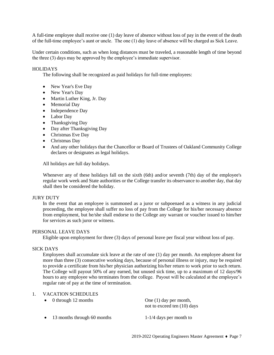A full-time employee shall receive one (1) day leave of absence without loss of pay in the event of the death of the full-time employee's aunt or uncle. The one (1) day leave of absence will be charged as Sick Leave.

Under certain conditions, such as when long distances must be traveled, a reasonable length of time beyond the three (3) days may be approved by the employee's immediate supervisor.

#### **HOLIDAYS**

The following shall be recognized as paid holidays for full-time employees:

- New Year's Eve Day
- New Year's Day
- Martin Luther King, Jr. Day
- Memorial Day
- Independence Day
- Labor Day
- Thanksgiving Day
- Day after Thanksgiving Day
- Christmas Eve Day
- Christmas Day
- And any other holidays that the Chancellor or Board of Trustees of Oakland Community College declares or designates as legal holidays.

All holidays are full day holidays.

Whenever any of these holidays fall on the sixth (6th) and/or seventh (7th) day of the employee's regular work week and State authorities or the College transfer its observance to another day, that day shall then be considered the holiday.

#### JURY DUTY

In the event that an employee is summoned as a juror or subpoenaed as a witness in any judicial proceeding, the employee shall suffer no loss of pay from the College for his/her necessary absence from employment, but he/she shall endorse to the College any warrant or voucher issued to him/her for services as such juror or witness.

#### PERSONAL LEAVE DAYS

Eligible upon employment for three (3) days of personal leave per fiscal year without loss of pay.

#### SICK DAYS

Employees shall accumulate sick leave at the rate of one (1) day per month. An employee absent for more than three (3) consecutive working days, because of personal illness or injury, may be required to provide a certificate from his/her physician authorizing his/her return to work prior to such return. The College will payout 50% of any earned, but unused sick time, up to a maximum of 12 days/96 hours to any employee who terminates from the college. Payout will be calculated at the employee's regular rate of pay at the time of termination.

#### 1. VACATION SCHEDULES

| 0 through 12 months         | One $(1)$ day per month,<br>not to exceed ten (10) days |
|-----------------------------|---------------------------------------------------------|
| 13 months through 60 months | $1-1/4$ days per month to                               |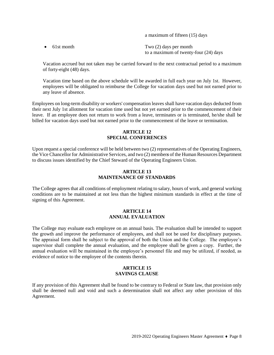a maximum of fifteen (15) days

• 61st month Two (2) days per month to a maximum of twenty-four (24) days

Vacation accrued but not taken may be carried forward to the next contractual period to a maximum of forty-eight (48) days.

Vacation time based on the above schedule will be awarded in full each year on July 1st. However, employees will be obligated to reimburse the College for vacation days used but not earned prior to any leave of absence.

Employees on long-term disability or workers' compensation leaves shall have vacation days deducted from their next July 1st allotment for vacation time used but not yet earned prior to the commencement of their leave. If an employee does not return to work from a leave, terminates or is terminated, he/she shall be billed for vacation days used but not earned prior to the commencement of the leave or termination.

#### **ARTICLE 12 SPECIAL CONFERENCES**

Upon request a special conference will be held between two (2) representatives of the Operating Engineers, the Vice Chancellor for Administrative Services, and two (2) member*s* of the Human Resources Department to discuss issues identified by the Chief Steward of the Operating Engineers Union.

#### **ARTICLE 13 MAINTENANCE OF STANDARDS**

The College agrees that all conditions of employment relating to salary, hours of work, and general working conditions are to be maintained at not less than the highest minimum standards in effect at the time of signing of this Agreement.

#### **ARTICLE 14 ANNUAL EVALUATION**

The College may evaluate each employee on an annual basis. The evaluation shall be intended to support the growth and improve the performance of employees, and shall not be used for disciplinary purposes. The appraisal form shall be subject to the approval of both the Union and the College. The employee's supervisor shall complete the annual evaluation, and the employee shall be given a copy. Further, the annual evaluation will be maintained in the employee's personnel file and may be utilized, if needed, as evidence of notice to the employee of the contents therein.

#### **ARTICLE 15 SAVINGS CLAUSE**

If any provision of this Agreement shall be found to be contrary to Federal or State law, that provision only shall be deemed null and void and such a determination shall not affect any other provision of this Agreement.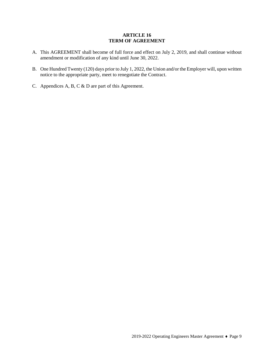#### **ARTICLE 16 TERM OF AGREEMENT**

- A. This AGREEMENT shall become of full force and effect on July 2, 2019, and shall continue without amendment or modification of any kind until June 30, 2022.
- B. One Hundred Twenty (120) days prior to July 1, 2022, the Union and/or the Employer will, upon written notice to the appropriate party, meet to renegotiate the Contract.
- C. Appendices A, B, C & D are part of this Agreement.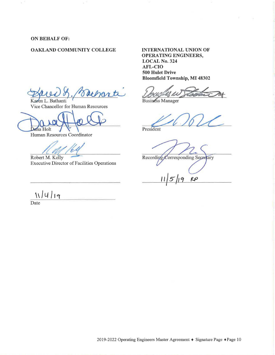**ON BEHALF OF:** 

#### **OAKLAND COMMUNITY COLLEGE**

Rue H. Batharti

Vice Chancellor for Human Resources

Human Resources Coordinator

Robert M. Kelly Executive Director of Facilities Operations

11/4/19

Date

#### **INTERNATIONAL UNION OF OPERATING ENGINEERS,**

**LOCAL No. 324 AFL-CIO 500 Hulet Drive Bloomfield Township, MI 48302** 

President Hulet Drive<br>
Onfield Township, MI 48302<br>
The Manager<br>
The Manager<br>
Adent<br>
Adent

Recording-Corresponding Secretary

 $R$  $\rho$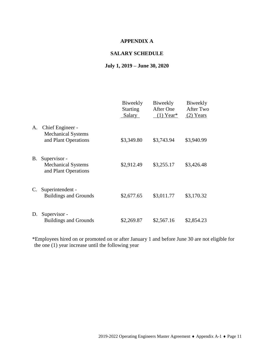## **APPENDIX A**

#### **SALARY SCHEDULE**

## **July 1, 2019 – June 30, 2020**

|    |                                                                       | Biweekly<br><b>Starting</b><br>Salary | Biweekly<br>After One<br>$(1)$ Year* | Biweekly<br>After Two<br>$(2)$ Years |
|----|-----------------------------------------------------------------------|---------------------------------------|--------------------------------------|--------------------------------------|
| A. | Chief Engineer -<br><b>Mechanical Systems</b><br>and Plant Operations | \$3,349.80                            | \$3,743.94                           | \$3,940.99                           |
| Β. | Supervisor -<br><b>Mechanical Systems</b><br>and Plant Operations     | \$2,912.49                            | \$3,255.17                           | \$3,426.48                           |
| C. | Superintendent -<br><b>Buildings and Grounds</b>                      | \$2,677.65                            | \$3,011.77                           | \$3,170.32                           |
| D. | Supervisor -<br><b>Buildings and Grounds</b>                          | \$2,269.87                            | \$2,567.16                           | \$2,854.23                           |

\*Employees hired on or promoted on or after January 1 and before June 30 are not eligible for the one (1) year increase until the following year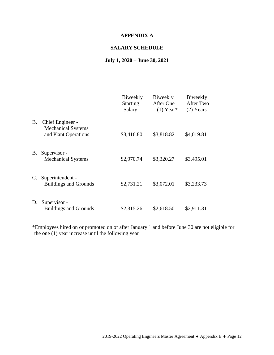## **APPENDIX A**

## **SALARY SCHEDULE**

## **July 1, 2020 – June 30, 2021**

|           |                                                                       | Biweekly<br><b>Starting</b><br>Salary | Biweekly<br><b>After One</b><br>$(1)$ Year* | Biweekly<br>After Two<br>$(2)$ Years |
|-----------|-----------------------------------------------------------------------|---------------------------------------|---------------------------------------------|--------------------------------------|
| <b>B.</b> | Chief Engineer -<br><b>Mechanical Systems</b><br>and Plant Operations | \$3,416.80                            | \$3,818.82                                  | \$4,019.81                           |
| <b>B.</b> | Supervisor -<br><b>Mechanical Systems</b>                             | \$2,970.74                            | \$3,320.27                                  | \$3,495.01                           |
| C.        | Superintendent -<br><b>Buildings and Grounds</b>                      | \$2,731.21                            | \$3,072.01                                  | \$3,233.73                           |
| D.        | Supervisor -<br><b>Buildings and Grounds</b>                          | \$2,315.26                            | \$2,618.50                                  | \$2,911.31                           |

\*Employees hired on or promoted on or after January 1 and before June 30 are not eligible for the one (1) year increase until the following year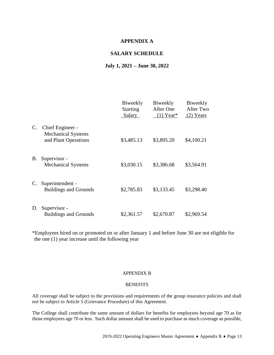#### **APPENDIX A**

#### **SALARY SCHEDULE**

#### **July 1, 2021 – June 30, 2022**

|                |                                                                       | Biweekly<br><b>Starting</b><br>Salary | Biweekly<br><b>After One</b><br>$(1)$ Year* | Biweekly<br>After Two<br>$(2)$ Years |
|----------------|-----------------------------------------------------------------------|---------------------------------------|---------------------------------------------|--------------------------------------|
| $\mathbf{C}$ . | Chief Engineer -<br><b>Mechanical Systems</b><br>and Plant Operations | \$3,485.13                            | \$3,895.20                                  | \$4,100.21                           |
| В.             | Supervisor -<br><b>Mechanical Systems</b>                             | \$3,030.15                            | \$3,386.68                                  | \$3,564.91                           |
|                | C. Superintendent -<br><b>Buildings and Grounds</b>                   | \$2,785.83                            | \$3,133.45                                  | \$3,298.40                           |
| D.             | Supervisor -<br><b>Buildings and Grounds</b>                          | \$2,361.57                            | \$2,670.87                                  | \$2,969.54                           |

\*Employees hired on or promoted on or after January 1 and before June 30 are not eligible for the one (1) year increase until the following year

#### APPENDIX B

#### **BENEFITS**

All coverage shall be subject to the provisions and requirements of the group insurance policies and shall not be subject to Article 5 (Grievance Procedure) of this Agreement.

The College shall contribute the same amount of dollars for benefits for employees beyond age 70 as for those employees age 70 or less. Such dollar amount shall be used to purchase as much coverage as possible,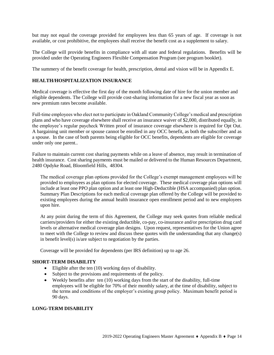but may not equal the coverage provided for employees less than 65 years of age. If coverage is not available, or cost prohibitive, the employees shall receive the benefit cost as a supplement to salary.

The College will provide benefits in compliance with all state and federal regulations. Benefits will be provided under the Operating Engineers Flexible Compensation Program (see program booklet).

The summery of the benefit coverage for health, prescription, dental and vision will be in Appendix E.

#### **HEALTH/HOSPITALIZATION INSURANCE**

Medical coverage is effective the first day of the month following date of hire for the union member and eligible dependents. The College will provide cost-sharing information for a new fiscal year as soon as new premium rates become available.

Full-time employees who elect not to participate in Oakland Community College's medical and prescription plans and who have coverage elsewhere shall receive an insurance waiver of \$2,000, distributed equally, in the employee's regular paycheck Written proof of insurance coverage elsewhere is required for Opt Out. A bargaining unit member or spouse cannot be enrolled in any OCC benefit, as both the subscriber and as a spouse. In the case of both parents being eligible for OCC benefits, dependents are eligible for coverage under only one parent..

Failure to maintain current cost sharing payments while on a leave of absence, may result in termination of health insurance. Cost sharing payments must be mailed or delivered to the Human Resources Department, 2480 Opdyke Road, Bloomfield Hills, 48304.

The medical coverage plan options provided for the College's exempt management employees will be provided to employees as plan options for elected coverage. These medical coverage plan options will include at least one PPO plan option and at least one High-Deductible (HSA accompanied) plan option. Summary Plan Descriptions for each medical coverage plan offered by the College will be provided to existing employees during the annual health insurance open enrollment period and to new employees upon hire.

At any point during the term of this Agreement, the College may seek quotes from reliable medical carriers/providers for either the existing deductible, co-pay, co-insurance and/or prescription drug card levels or alternative medical coverage plan designs. Upon request, representatives for the Union agree to meet with the College to review and discuss these quotes with the understanding that any change(s) in benefit level(s) is/are subject to negotiation by the parties.

Coverage will be provided for dependents (per IRS definition) up to age 26.

#### **SHORT-TERM DISABILITY**

- Eligible after the ten (10) working days of disability.
- Subject to the provisions and requirements of the policy.
- Weekly benefits after ten  $(10)$  working days from the start of the disability, full-time employees will be eligible for 70% of their monthly salary, at the time of disability, subject to the terms and conditions of the employer's existing group policy. Maximum benefit period is 90 days.

#### **LONG-TERM DISABILITY**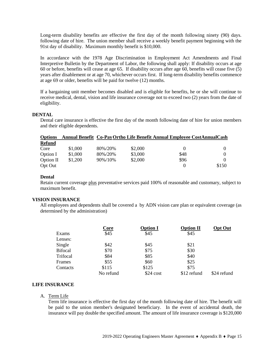Long-term disability benefits are effective the first day of the month following ninety (90) days. following date of hire. The union member shall receive a weekly benefit payment beginning with the 91st day of disability. Maximum monthly benefit is \$10,000.

In accordance with the 1978 Age Discrimination in Employment Act Amendments and Final Interpretive Bulletin by the Department of Labor, the following shall apply: If disability occurs at age 60 or before, benefits will cease at age 65. If disability occurs after age 60, benefits will cease five (5) years after disablement or at age 70, whichever occurs first. If long-term disability benefits commence at age 69 or older, benefits will be paid for twelve (12) months.

If a bargaining unit member becomes disabled and is eligible for benefits, he or she will continue to receive medical, dental, vision and life insurance coverage not to exceed two (2) years from the date of eligibility.

#### **DENTAL**

Dental care insurance is effective the first day of the month following date of hire for union members and their eligible dependents.

| <b>Options</b> |         |         |         | Annual Benefit Co-Pay Ortho Life Benefit Annual Employee CostAnnual Cash |       |
|----------------|---------|---------|---------|--------------------------------------------------------------------------|-------|
| <b>Refund</b>  |         |         |         |                                                                          |       |
| Core           | \$1,000 | 80%/20% | \$2,000 |                                                                          |       |
| Option I       | \$1,000 | 80%/20% | \$3,000 | \$48                                                                     |       |
| Option II      | \$1,200 | 90%/10% | \$2,000 | \$96                                                                     |       |
| Opt Out        |         |         |         |                                                                          | \$150 |

#### **Dental**

Retain current coverage plus preventative services paid 100% of reasonable and customary, subject to maximum benefit.

#### **VISION INSURANCE**

All employees and dependents shall be covered a by ADN vision care plan or equivalent coverage (as determined by the administration)

|                | <u>Core</u> | <b>Option I</b> | <b>Option II</b> | <b>Opt Out</b> |
|----------------|-------------|-----------------|------------------|----------------|
| Exams          | \$45        | \$45            | \$45             |                |
| Lenses:        |             |                 |                  |                |
| Single         | \$42        | \$45            | \$21             |                |
| <b>Bifocal</b> | \$70        | \$75            | \$30             |                |
| Trifocal       | \$84        | \$85            | \$40             |                |
| Frames         | \$55        | \$60            | \$25             |                |
| Contacts       | \$115       | \$125           | \$75             |                |
|                | No refund   | \$24 cost       | \$12 refund      | \$24 refund    |

#### **LIFE INSURANCE**

#### A. Term Life

Term life insurance is effective the first day of the month following date of hire. The benefit will be paid to the union member's designated beneficiary. In the event of accidental death, the insurance will pay double the specified amount. The amount of life insurance coverage is \$120,000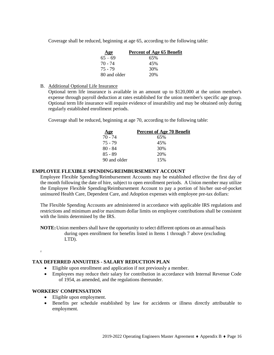Coverage shall be reduced, beginning at age 65, according to the following table:

| Age          | <b>Percent of Age 65 Benefit</b> |
|--------------|----------------------------------|
| $65 - 69$    | 65%                              |
| 70 - 74      | 45%                              |
| 75 - 79      | 30%                              |
| 80 and older | 20%                              |

#### B. Additional Optional Life Insurance

Optional term life insurance is available in an amount up to \$120,000 at the union member's expense through payroll deduction at rates established for the union member's specific age group. Optional term life insurance will require evidence of insurability and may be obtained only during regularly established enrollment periods.

Coverage shall be reduced, beginning at age 70, according to the following table:

| Age          | Percent of Age 70 Benefit |
|--------------|---------------------------|
| 70 - 74      | 65%                       |
| 75 - 79      | 45%                       |
| $80 - 84$    | 30%                       |
| $85 - 89$    | 20%                       |
| 90 and older | 15%                       |

#### **EMPLOYEE FLEXIBLE SPENDING/REIMBURSEMENT ACCOUNT**

Employee Flexible Spending/Reimbursement Accounts may be established effective the first day of the month following the date of hire, subject to open enrollment periods. A Union member may utilize the Employee Flexible Spending/Reimbursement Account to pay a portion of his/her out-of-pocket uninsured Health Care, Dependent Care, and Adoption expenses with employee pre-tax dollars:

The Flexible Spending Accounts are administered in accordance with applicable IRS regulations and restrictions and minimum and/or maximum dollar limits on employee contributions shall be consistent with the limits determined by the IRS.

**NOTE:**Union members shall have the opportunity to select different options on an annual basis during open enrollment for benefits listed in Items 1 through 7 above (excluding LTD).

.

#### **TAX DEFERRED ANNUITIES - SALARY REDUCTION PLAN**

- Eligible upon enrollment and application if not previously a member.
- Employees may reduce their salary for contribution in accordance with Internal Revenue Code of 1954, as amended, and the regulations thereunder.

#### **WORKERS' COMPENSATION**

- Eligible upon employment.
- Benefits per schedule established by law for accidents or illness directly attributable to employment.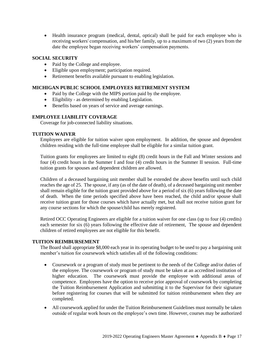Health insurance program (medical, dental, optical) shall be paid for each employee who is receiving workers' compensation, and his/her family, up to a maximum of two (2) years from the date the employee began receiving workers' compensation payments.

#### **SOCIAL SECURITY**

- Paid by the College and employee.
- Eligible upon employment; participation required.
- Retirement benefits available pursuant to enabling legislation.

#### **MICHIGAN PUBLIC SCHOOL EMPLOYEES RETIREMENT SYSTEM**

- Paid by the College with the MIPS portion paid by the employee.
- Eligibility as determined by enabling Legislation.
- Benefits based on years of service and average earnings.

#### **EMPLOYEE LIABILITY COVERAGE**

Coverage for job-connected liability situations.

#### **TUITION WAIVER**

Employees are eligible for tuition waiver upon employment. In addition, the spouse and dependent children residing with the full-time employee shall be eligible for a similar tuition grant.

Tuition grants for employees are limited to eight (8) credit hours in the Fall and Winter sessions and four (4) credit hours in the Summer I and four (4) credit hours in the Summer II session. Full-time tuition grants for spouses and dependent children are allowed.

Children of a deceased bargaining unit member shall be extended the above benefits until such child reaches the age of 25. The spouse, if any (as of the date of death), of a deceased bargaining unit member shall remain eligible for the tuition grant provided above for a period of six (6) years following the date of death. When the time periods specified above have been reached, the child and/or spouse shall receive tuition grant for those courses which have actually met, but shall not receive tuition grant for any course sections for which the spouse/child has merely registered.

Retired OCC Operating Engineers are eligible for a tuition waiver for one class (up to four (4) credits) each semester for six (6) years following the effective date of retirement, The spouse and dependent children of retired employees are not eligible for this benefit.

#### **TUITION REIMBURSEMENT**

The Board shall appropriate \$8,000 each year in its operating budget to be used to pay a bargaining unit member's tuition for coursework which satisfies all of the following conditions:

- Coursework or a program of study must be pertinent to the needs of the College and/or duties of the employee. The coursework or program of study must be taken at an accredited institution of higher education. The coursework must provide the employee with additional areas of competence. Employees have the option to receive prior approval of coursework by completing the Tuition Reimbursement Application and submitting it to the Supervisor for their signature before registering for courses that will be submitted for tuition reimbursement when they are completed.
- All coursework applied for under the Tuition Reimbursement Guidelines must normally be taken outside of regular work hours on the employee's own time. However, courses may be authorized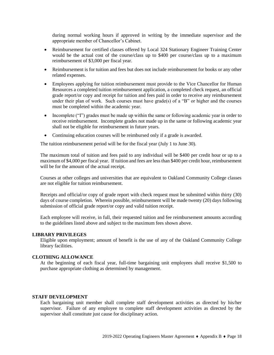during normal working hours if approved in writing by the immediate supervisor and the appropriate member of Chancellor's Cabinet.

- Reimbursement for certified classes offered by Local 324 Stationary Engineer Training Center would be the actual cost of the course/class up to \$400 per course/class up to a maximum reimbursement of \$3,000 per fiscal year.
- Reimbursement is for tuition and fees but does not include reimbursement for books or any other related expenses.
- Employees applying for tuition reimbursement must provide to the Vice Chancellor for Human Resources a completed tuition reimbursement application, a completed check request, an official grade report/or copy and receipt for tuition and fees paid in order to receive any reimbursement under their plan of work. Such courses must have grade(s) of a "B" or higher and the courses must be completed within the academic year.
- Incomplete ("I") grades must be made up within the same or following academic year in order to receive reimbursement. Incomplete grades not made up in the same or following academic year shall not be eligible for reimbursement in future years.
- Continuing education courses will be reimbursed only if a grade is awarded.

The tuition reimbursement period will be for the fiscal year (July 1 to June 30).

The maximum total of tuition and fees paid to any individual will be \$400 per credit hour or up to a maximum of \$4,000 per fiscal year. If tuition and fees are less than \$400 per credit hour, reimbursement will be for the amount of the actual receipt.

Courses at other colleges and universities that are equivalent to Oakland Community College classes are not eligible for tuition reimbursement.

Receipts and official/or copy of grade report with check request must be submitted within thirty (30) days of course completion. Wherein possible, reimbursement will be made twenty (20) days following submission of official grade report/or copy and valid tuition receipt.

Each employee will receive, in full, their requested tuition and fee reimbursement amounts according to the guidelines listed above and subject to the maximum fees shown above.

#### **LIBRARY PRIVILEGES**

Eligible upon employment; amount of benefit is the use of any of the Oakland Community College library facilities.

#### **CLOTHING ALLOWANCE**

At the beginning of each fiscal year, full-time bargaining unit employees shall receive \$1,500 to purchase appropriate clothing as determined by management.

#### **STAFF DEVELOPMENT**

Each bargaining unit member shall complete staff development activities as directed by his/her supervisor. Failure of any employee to complete staff development activities as directed by the supervisor shall constitute just cause for disciplinary action.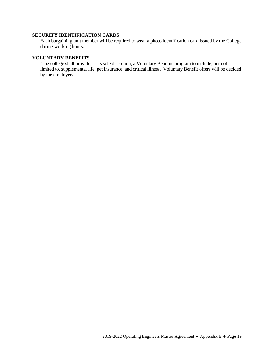#### **SECURITY IDENTIFICATION CARDS**

Each bargaining unit member will be required to wear a photo identification card issued by the College during working hours.

#### **VOLUNTARY BENEFITS**

The college shall provide, at its sole discretion, a Voluntary Benefits program to include, but not limited to, supplemental life, pet insurance, and critical illness. Voluntary Benefit offers will be decided by the employer**.**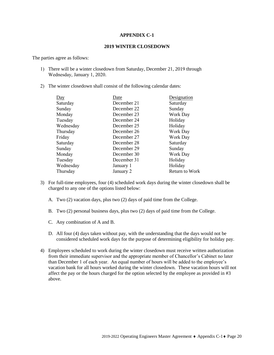#### **APPENDIX C-1**

#### **2019 WINTER CLOSEDOWN**

The parties agree as follows:

- 1) There will be a winter closedown from Saturday, December 21, 2019 through Wednesday, January 1, 2020.
- 2) The winter closedown shall consist of the following calendar dates:

| Day       | Date        | Designation     |
|-----------|-------------|-----------------|
| Saturday  | December 21 | Saturday        |
| Sunday    | December 22 | Sunday          |
| Monday    | December 23 | <b>Work Day</b> |
| Tuesday   | December 24 | Holiday         |
| Wednesday | December 25 | Holiday         |
| Thursday  | December 26 | Work Day        |
| Friday    | December 27 | Work Day        |
| Saturday  | December 28 | Saturday        |
| Sunday    | December 29 | Sunday          |
| Monday    | December 30 | Work Day        |
| Tuesday   | December 31 | Holiday         |
| Wednesday | January 1   | Holiday         |
| Thursday  | January 2   | Return to Work  |
|           |             |                 |

- 3) For full-time employees, four (4) scheduled work days during the winter closedown shall be charged to any one of the options listed below:
	- A. Two (2) vacation days, plus two (2) days of paid time from the College.
	- B. Two (2) personal business days, plus two (2) days of paid time from the College.
	- C. Any combination of A and B.
	- D. All four (4) days taken without pay, with the understanding that the days would not be considered scheduled work days for the purpose of determining eligibility for holiday pay.
- 4) Employees scheduled to work during the winter closedown must receive written authorization from their immediate supervisor and the appropriate member of Chancellor's Cabinet no later than December 1 of each year. An equal number of hours will be added to the employee's vacation bank for all hours worked during the winter closedown. These vacation hours will not affect the pay or the hours charged for the option selected by the employee as provided in #3 above.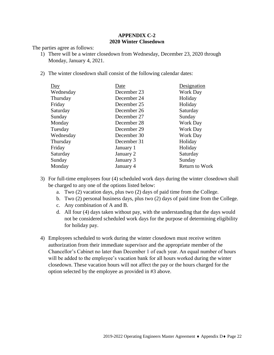### **APPENDIX C-2 2020 Winter Closedown**

The parties agree as follows:

- 1) There will be a winter closedown from Wednesday, December 23, 2020 through Monday, January 4, 2021.
- 2) The winter closedown shall consist of the following calendar dates:

| Day       | Date        | Designation           |
|-----------|-------------|-----------------------|
| Wednesday | December 23 | <b>Work Day</b>       |
| Thursday  | December 24 | Holiday               |
| Friday    | December 25 | Holiday               |
| Saturday  | December 26 | Saturday              |
| Sunday    | December 27 | Sunday                |
| Monday    | December 28 | <b>Work Day</b>       |
| Tuesday   | December 29 | <b>Work Day</b>       |
| Wednesday | December 30 | <b>Work Day</b>       |
| Thursday  | December 31 | Holiday               |
| Friday    | January 1   | Holiday               |
| Saturday  | January 2   | Saturday              |
| Sunday    | January 3   | Sunday                |
| Monday    | January 4   | <b>Return to Work</b> |
|           |             |                       |

- 3) For full-time employees four (4) scheduled work days during the winter closedown shall be charged to any one of the options listed below:
	- a. Two (2) vacation days, plus two (2) days of paid time from the College.
	- b. Two (2) personal business days, plus two (2) days of paid time from the College.
	- c. Any combination of A and B.
	- d. All four (4) days taken without pay, with the understanding that the days would not be considered scheduled work days for the purpose of determining eligibility for holiday pay.
- 4) Employees scheduled to work during the winter closedown must receive written authorization from their immediate supervisor and the appropriate member of the Chancellor's Cabinet no later than December 1 of each year. An equal number of hours will be added to the employee's vacation bank for all hours worked during the winter closedown. These vacation hours will not affect the pay or the hours charged for the option selected by the employee as provided in #3 above.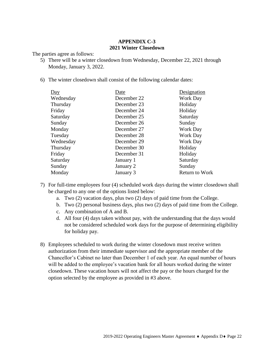## **APPENDIX C-3 2021 Winter Closedown**

The parties agree as follows:

- 5) There will be a winter closedown from Wednesday, December 22, 2021 through Monday, January 3, 2022.
- 6) The winter closedown shall consist of the following calendar dates:

| Day       | Date        | Designation           |
|-----------|-------------|-----------------------|
| Wednesday | December 22 | Work Day              |
| Thursday  | December 23 | Holiday               |
| Friday    | December 24 | Holiday               |
| Saturday  | December 25 | Saturday              |
| Sunday    | December 26 | Sunday                |
| Monday    | December 27 | Work Day              |
| Tuesday   | December 28 | Work Day              |
| Wednesday | December 29 | Work Day              |
| Thursday  | December 30 | Holiday               |
| Friday    | December 31 | Holiday               |
| Saturday  | January 1   | Saturday              |
| Sunday    | January 2   | Sunday                |
| Monday    | January 3   | <b>Return to Work</b> |
|           |             |                       |

- 7) For full-time employees four (4) scheduled work days during the winter closedown shall be charged to any one of the options listed below:
	- a. Two (2) vacation days, plus two (2) days of paid time from the College.
	- b. Two (2) personal business days, plus two (2) days of paid time from the College.
	- c. Any combination of A and B.
	- d. All four (4) days taken without pay, with the understanding that the days would not be considered scheduled work days for the purpose of determining eligibility for holiday pay.
- 8) Employees scheduled to work during the winter closedown must receive written authorization from their immediate supervisor and the appropriate member of the Chancellor's Cabinet no later than December 1 of each year. An equal number of hours will be added to the employee's vacation bank for all hours worked during the winter closedown. These vacation hours will not affect the pay or the hours charged for the option selected by the employee as provided in #3 above.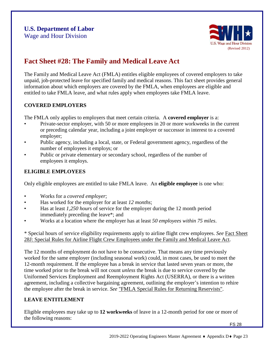

## **Fact Sheet #28: The Family and Medical Leave Act**

The Family and Medical Leave Act (FMLA) entitles eligible employees of covered employers to take unpaid, job-protected leave for specified family and medical reasons. This fact sheet provides general information about which employers are covered by the FMLA, when employees are eligible and entitled to take FMLA leave, and what rules apply when employees take FMLA leave.

## **COVERED EMPLOYERS**

The FMLA only applies to employers that meet certain criteria. A **covered employer** is a:

- Private-sector employer, with 50 or more employees in 20 or more workweeks in the current or preceding calendar year, including a joint employer or successor in interest to a covered employer;
- Public agency, including a local, state, or Federal government agency, regardless of the number of employees it employs; or
- Public or private elementary or secondary school, regardless of the number of employees it employs.

## **ELIGIBLE EMPLOYEES**

Only eligible employees are entitled to take FMLA leave. An **eligible employee** is one who:

- Works for a *covered employer*;
- Has worked for the employer for at least *12 months*;
- Has at least *1,250 hours* of service for the employer during the 12 month period immediately preceding the leave\*; and
- Works at a location where the employer has at least *50 employees within 75 miles*.

\* Special hours of service eligibility requirements apply to airline flight crew employees. *See* Fact [Sheet](http://www.dol.gov/whd/regs/compliance/whdfs28j.htm) 28J: Special Rules for Airline Flight Crew [Employees under](http://www.dol.gov/whd/regs/compliance/whdfs28j.htm) the Family and Medical Leave Act.

The 12 months of employment do not have to be consecutive. That means any time previously worked for the same employer (including seasonal work) could, in most cases, be used to meet the 12-month requirement. If the employee has a break in service that lasted seven years or more, the time worked prior to the break will not count *unless* the break is due to service covered by the Uniformed Services Employment and Reemployment Rights Act (USERRA), or there is a written agreement, including a collective bargaining agreement, outlining the employer's intention to rehire the employee after the break in service. *See* ["FMLA Special Rules for](http://www.dol.gov/whd/fmla/userra.htm) Returning Reservists".

## **LEAVE ENTITLEMENT**

Eligible employees may take up to **12 workweeks** of leave in a 12-month period for one or more of the following reasons: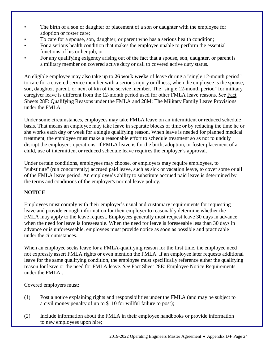- The birth of a son or daughter or placement of a son or daughter with the employee for adoption or foster care;
- To care for a spouse, son, daughter, or parent who has a serious health condition;
- For a serious health condition that makes the employee unable to perform the essential functions of his or her job; or
- For any qualifying exigency arising out of the fact that a spouse, son, daughter, or parent is a military member on covered active duty or call to covered active duty status.

An eligible employee may also take up to **26 work weeks** of leave during a "single 12-month period" to care for a covered service member with a serious injury or illness, when the employee is the spouse, son, daughter, parent, or next of kin of the service member. The "single 12-month period" for military caregiver leave is different from the 12-month period used for other FMLA leave reasons. *See* [Fact](http://www.dol.gov/whd/regs/compliance/whdfs28f.htm) [Sheets 28F: Qualifying](http://www.dol.gov/whd/regs/compliance/whdfs28f.htm) Reasons under the FMLA and 28M: The Military Family Leave [Provisions](http://www.dol.gov/whd/regs/compliance/whdfs28m.htm) under the [FMLA.](http://www.dol.gov/whd/regs/compliance/whdfs28m.htm)

Under some circumstances, employees may take FMLA leave on an intermittent or reduced schedule basis. That means an employee may take leave in separate blocks of time or by reducing the time he or she works each day or week for a single qualifying reason. When leave is needed for planned medical treatment, the employee must make a reasonable effort to schedule treatment so as not to unduly disrupt the employer's operations. If FMLA leave is for the birth, adoption, or foster placement of a child, use of intermittent or reduced schedule leave requires the employer's approval.

Under certain conditions, employees may choose, or employers may require employees, to "substitute" (run concurrently) accrued paid leave, such as sick or vacation leave, to cover some or all of the FMLA leave period. An employee's ability to substitute accrued paid leave is determined by the terms and conditions of the employer's normal leave policy.

## **NOTICE**

Employees must comply with their employer's usual and customary requirements for requesting leave and provide enough information for their employer to reasonably determine whether the FMLA may apply to the leave request. Employees generally must request leave 30 days in advance when the need for leave is foreseeable. When the need for leave is foreseeable less than 30 days in advance or is unforeseeable, employees must provide notice as soon as possible and practicable under the circumstances.

When an employee seeks leave for a FMLA-qualifying reason for the first time, the employee need not expressly assert FMLA rights or even mention the FMLA. If an employee later requests additional leave for the same qualifying condition, the employee must specifically reference either the qualifying reason for leave or the need for FMLA leave. *See* [Fact Sheet 28E: Employee](http://www.dol.gov/whd/regs/compliance/whdfs28e.htm) Notice Requirements [under](http://www.dol.gov/whd/regs/compliance/whdfs28e.htm) the [FMLA](http://www.dol.gov/whd/regs/compliance/whdfs28e.htm) .

Covered employers must:

- (1) Post a notice explaining rights and responsibilities under the FMLA (and may be subject to a civil money penalty of up to \$110 for willful failure to post);
- (2) Include information about the FMLA in their employee handbooks or provide information to new employees upon hire;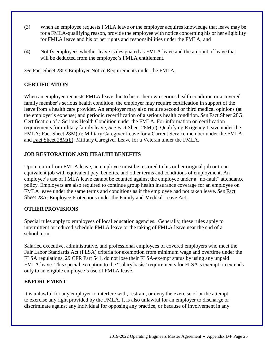- (3) When an employee requests FMLA leave or the employer acquires knowledge that leave may be for a FMLA-qualifying reason, provide the employee with notice concerning his or her eligibility for FMLA leave and his or her rights and responsibilities under the FMLA; and
- (4) Notify employees whether leave is designated as FMLA leave and the amount of leave that will be deducted from the employee's FMLA entitlement.

*See* Fact Sheet 28D: Employer Notice [Requirements under](http://www.dol.gov/whd/regs/compliance/whdfs28d.htm) the FMLA.

## **CERTIFICATION**

When an employee requests FMLA leave due to his or her own serious health condition or a covered family member's serious health condition, the employer may require certification in support of the leave from a health care provider. An employer may also require second or third medical opinions (at the employer's expense) and periodic recertification of a serious health condition. *See* Fact [Sheet](http://www.dol.gov/whd/regs/compliance/whdfs28g.htm) 28G: Certification of a Serious Health Condition under the FMLA. For information on certification requirements for military family leave, *See* Fact Sheet [28M\(c\):](http://www.dol.gov/whd/regs/compliance/whdfs28mc.htm) Qualifying Exigency Leave under the FMLA; Fact Sheet [28M\(a\):](http://www.dol.gov/whd/regs/compliance/whdfs28ma.htm) Military Caregiver Leave for a Current Service member under the FMLA; and [Fact Sheet 28M\(b\):](http://www.dol.gov/whd/regs/compliance/whdfs28mb.htm) Military Caregiver Leave for a Veteran under the FMLA.

## **JOB RESTORATION AND HEALTH BENEFITS**

Upon return from FMLA leave, an employee must be restored to his or her original job or to an equivalent job with equivalent pay, benefits, and other terms and conditions of employment. An employee's use of FMLA leave cannot be counted against the employee under a "no-fault" attendance policy. Employers are also required to continue group health insurance coverage for an employee on FMLA leave under the same terms and conditions as if the employee had not taken leave. *See* [Fact](http://www.dol.gov/whd/regs/compliance/whdfs28a.htm) [Sheet](http://www.dol.gov/whd/regs/compliance/whdfs28a.htm) [28A: Employee](http://www.dol.gov/whd/regs/compliance/whdfs28a.htm) Protections under the Family and Medical Leave Act .

## **OTHER PROVISIONS**

Special rules apply to employees of local education agencies. Generally, these rules apply to intermittent or reduced schedule FMLA leave or the taking of FMLA leave near the end of a school term.

Salaried executive, administrative, and professional employees of covered employers who meet the Fair Labor Standards Act (FLSA) criteria for exemption from minimum wage and overtime under the FLSA regulations, 29 CFR Part 541, do not lose their FLSA-exempt status by using any unpaid FMLA leave. This special exception to the "salary basis" requirements for FLSA's exemption extends only to an eligible employee's use of FMLA leave.

## **ENFORCEMENT**

It is unlawful for any employer to interfere with, restrain, or deny the exercise of or the attempt to exercise any right provided by the FMLA. It is also unlawful for an employer to discharge or discriminate against any individual for opposing any practice, or because of involvement in any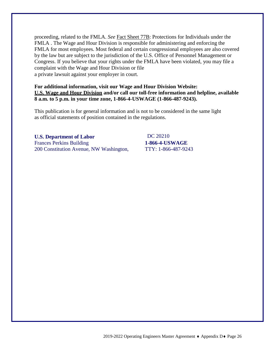proceeding, related to the FMLA. *See* Fact Sheet [77B: Protections for](http://www.dol.gov/whd/regs/compliance/whdfs77b.htm) Individuals under the [FMLA](http://www.dol.gov/whd/regs/compliance/whdfs77b.htm) . The Wage and Hour Division is responsible for administering and enforcing the FMLA for most employees. Most federal and certain congressional employees are also covered by the law but are subject to the jurisdiction of the U.S. Office of Personnel Management or Congress. If you believe that your rights under the FMLA have been violated, you may file a complaint with the Wage and Hour Division or file a private lawsuit against your employer in court.

#### **For additional information, visit our Wage and Hour Division Website: [U.S. Wage and Hour Division](http://www.wagehour.dol.gov/) and/or call our toll-free information and helpline, available 8 a.m. to 5 p.m. in your time zone, 1-866-4-USWAGE (1-866-487-9243).**

This publication is for general information and is not to be considered in the same light as official statements of position contained in the regulations.

## **U.S. Department of Labor** Frances Perkins Building 200 Constitution Avenue, NW Washington,

DC 20210 **1-866-4-USWAGE** TTY: 1-866-487-9243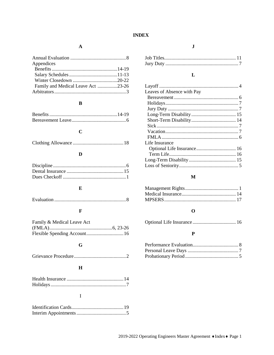## **INDEX**

## $\mathbf{A}$

| Appendices                         |  |
|------------------------------------|--|
|                                    |  |
|                                    |  |
|                                    |  |
| Family and Medical Leave Act 23-26 |  |
|                                    |  |
|                                    |  |

## $\, {\bf B}$

## $\mathbf C$

|--|--|--|--|--|

## $\mathbf{D}$

## $\mathbf E$

|--|

## $\mathbf F$

| Family & Medical Leave Act |  |
|----------------------------|--|
|                            |  |
|                            |  |

## $\mathbf G$

|--|

## $\mathbf H$

## $\overline{I}$

## $\mathbf{J}$

## $\mathbf L$

| Leaves of Absence with Pay |  |
|----------------------------|--|
|                            |  |
|                            |  |
|                            |  |
|                            |  |
|                            |  |
|                            |  |
|                            |  |
|                            |  |
| Life Insurance             |  |
|                            |  |
|                            |  |
|                            |  |
|                            |  |
|                            |  |

## $\mathbf M$

## $\mathbf 0$

|--|--|

## $\mathbf P$